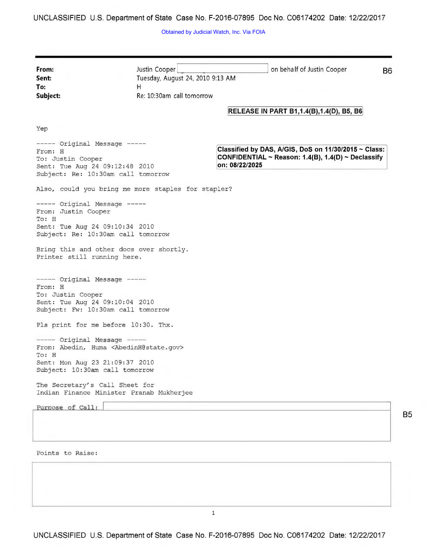**UNCLASSIFIED U.S. Department of State Case No. F-2016-07895 Doc No. C06174202 Date: 12/22/2017** 

Obtained by Judicial Watch, Inc. Via FOIA

| From:<br>Sent:<br>To:<br>Subject:                                                                                                                                          | Justin Cooper<br>Tuesday, August 24, 2010 9:13 AM<br>H<br>Re: 10:30am call tomorrow | on behalf of Justin Cooper<br>B6                                                                                                  |
|----------------------------------------------------------------------------------------------------------------------------------------------------------------------------|-------------------------------------------------------------------------------------|-----------------------------------------------------------------------------------------------------------------------------------|
|                                                                                                                                                                            |                                                                                     | <b>RELEASE IN PART B1,1.4(B),1.4(D), B5, B6</b>                                                                                   |
| Yep                                                                                                                                                                        |                                                                                     |                                                                                                                                   |
| ----- Original Message -----<br>From: H<br>To: Justin Cooper<br>Sent: Tue Aug 24 09:12:48 2010<br>Subject: Re: 10:30am call tomorrow                                       |                                                                                     | Classified by DAS, A/GIS, DoS on 11/30/2015 ~ Class:<br>CONFIDENTIAL ~ Reason: $1.4(B)$ , $1.4(D)$ ~ Declassify<br>on: 08/22/2025 |
|                                                                                                                                                                            | Also, could you bring me more staples for stapler?                                  |                                                                                                                                   |
| ----- Original Message -----<br>From: Justin Cooper<br>To: H<br>Sent: Tue Aug 24 09:10:34 2010<br>Subject: Re: 10:30am call tomorrow<br>Printer still running here.        | Bring this and other docs over shortly.                                             |                                                                                                                                   |
| $---$ Original Message $---$<br>From: H<br>To: Justin Cooper<br>Sent: Tue Aug 24 09:10:04 2010<br>Subject: Fw: 10:30am call tomorrow                                       |                                                                                     |                                                                                                                                   |
| Pls print for me before 10:30. Thx.                                                                                                                                        |                                                                                     |                                                                                                                                   |
| $---$ Original Message $---$<br>From: Abedin, Huma <abedinh@state.gov><br/>To: H<br/>Sent: Mon Aug 23 21:09:37 2010<br/>Subject: 10:30am call tomorrow</abedinh@state.gov> |                                                                                     |                                                                                                                                   |
| The Secretary's Call Sheet for                                                                                                                                             | Indian Finance Minister Pranab Mukherjee                                            |                                                                                                                                   |
| Purpose of Call:                                                                                                                                                           |                                                                                     |                                                                                                                                   |
|                                                                                                                                                                            |                                                                                     |                                                                                                                                   |
| Dointe to Daid                                                                                                                                                             |                                                                                     |                                                                                                                                   |

**85** 

Points to Raise:

**UNCLASSIFIED U.S. Department of State Case No. F-2016-07895 Doc No. C06174202 Date: 12/22/2017**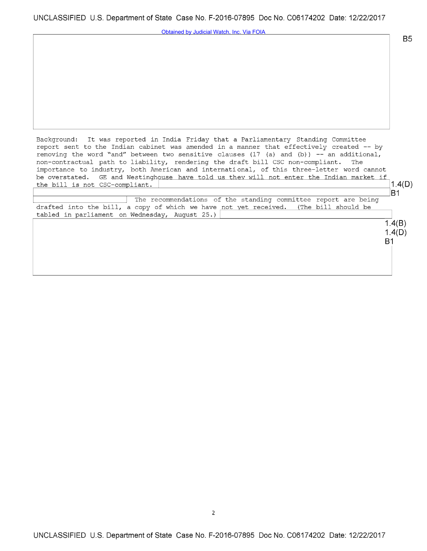Obtained by Judicial Watch, Inc. Via FOIA

Background: It was reported in India Friday that a Parliamentary Standing Committee report sent to the Indian cabinet was amended in a manner that effectively created -- by removing the word "and" between two sensitive clauses (17 (a) and (b)) -- an additional, non-contractual path to liability, rendering the draft bill CSC non-compliant. The non-contractual path to liability, rendering the draft bill CSC non-compliant. importance to industry, both American and international, of this three-letter word cannot be overstated. GE and Westinghouse have told us they will not enter the Indian market if the bill is not  $CSC-compliant$ .  $\boxed{\qquad \qquad }$  1.4(D)

<sup>The</sup> recommendations of the standing committee report are being  $|B1|$ drafted into the bill, a copy of which we have not yet received. (The bill should be tabled in parliament on Wednesday, August 25.)

> **1.4(8) 1.4(0) 81**

**85**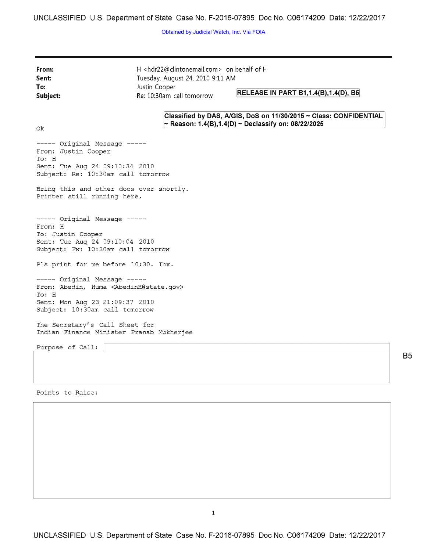Obtained by Judicial Watch, Inc. Via FOIA

**From: Sent:**  H <hdr22@clintonemail.com> on behalf of H Tuesday, August 24, 2010 9:11 AM **To: Subject:**  Justin Cooper Re: 10:30am call tomorrow **RELEASE IN PART B1,1.4(B),1.4(D), B5** Ok **Classified by DAS, A/GIS, DoS on 11/30/2015 - Class: CONFIDENTIAL**  - **Reason: 1.4(8),1.4(D) - Declassify on: 08/22/2025**  From: Justin Cooper To: H  $---$  Original Message  $---$ Sent: Tue Aug 24 09:10:34 2010 Subject: Re: 10:30am call tomorrow Bring this and other docs over shortly. Printer still running here. ----- Original Message -----From: H To: Justin Cooper Sent: Tue Aug 24 09:10:04 2010 Subject: Fw: 10:30am call tomorrow Pls print for me before 10:30. Thx. ----- Original Message -----From: Abedin, Huma <AbedinH@state.gov> To: H Sent: Mon Aug 23 21:09:37 2010 Subject: 10:30am call tomorrow The Secretary's Call Sheet for Indian Finance Minister Pranab Mukherjee Purpose of Call:

**B5** 

Points to Raise:

1